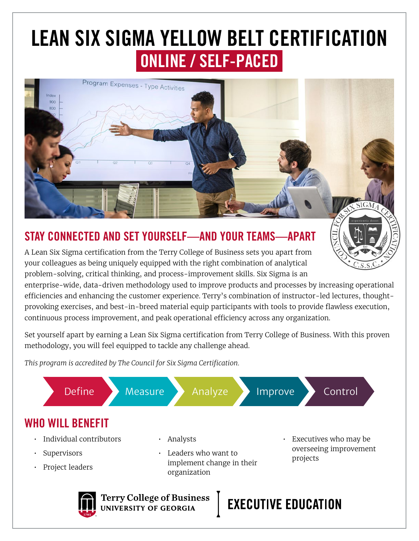## LEAN SIX SIGMA YELLOW BELT CERTIFICATION ONLINE / SELF-PACED



#### STAY CONNECTED AND SET YOURSELF—AND YOUR TEAMS—APART

A Lean Six Sigma certification from the Terry College of Business sets you apart from your colleagues as being uniquely equipped with the right combination of analytical problem-solving, critical thinking, and process-improvement skills. Six Sigma is an

enterprise-wide, data-driven methodology used to improve products and processes by increasing operational efficiencies and enhancing the customer experience. Terry's combination of instructor-led lectures, thoughtprovoking exercises, and best-in-breed material equip participants with tools to provide flawless execution, continuous process improvement, and peak operational efficiency across any organization.

Set yourself apart by earning a Lean Six Sigma certification from Terry College of Business. With this proven methodology, you will feel equipped to tackle any challenge ahead.

*This program is accredited by The Council for Six Sigma Certification.*